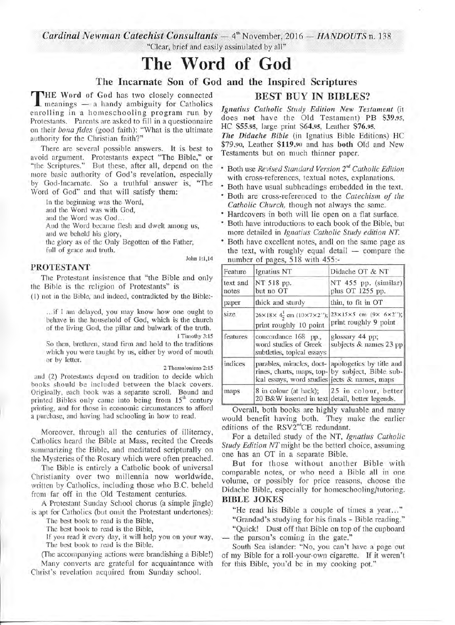Cardinal Newman Catechist Consultants - 4th November, 2016 - HANDOUTS n. 138 "Clear, brief and easily assimilated by all"

# **The Word of God**

## The Incarnate Son of God and the Inspired Scriptures

THE Word of God has two closely connected<br>meanings  $-$  a handy ambiguity for Catholics<br>enrolling in a homeschooling program run by HE Word of God has two closely connected enrolling in a homeschooling program run by Protestants. Parents are asked to fill in a questionnaire on their *bona fides* (good faith): "What is the ultimate authority for the Christian faith?"

There are several possible answers. It is best to avoid argument. Protestants expect "The Bible," or "the Scriptures." But these, after all, depend on the more basic authority of God's revelation, especially by God-Incarnate. So a truthful answer is, "The Word of God" and that will satisfy them:

In the beginning was the Word,

and the Word was with God,

and the Word was God...

And the Word became flesh and dwelt among us,

and we beheld his glory,

the glory as of the Only Begotten of the Father, full of grace and truth.

### PROTESTANT

The Protestant insistence that "the Bible and only the Bible is the religion of Protestants" is

(l) not in the Bible, and indeed, contradicted by the Bible:-

... if I am delayed, you may know how one ought to behave in the household of God, which is the church of the living God, the pillar and bulwark of the truth. I Timothy 3:15

So then, brethren, stand firm and hold to the traditions which you were taught by us, either by word of mouth or by letter.

2 Thessalonians 2: 15

and (2) Protestants depend on tradition to decide which books should be included between the black covers. Originally, each book was a separate scroll. Bound and printed Bibles only came into being from 15<sup>th</sup> century printing, and for those in economic circumstances to afford a purchase, and having had schooling in how to read.

Moreover, through all the centuries of illiteracy, Catholics heard the Bible at Mass, recited the Creeds summarizing the Bible, and meditated scripturally on the Mysteries of the Rosary which were often preached.

The Bible is entirely a Catholic book of universal Christianity over two millennia now worldwide, written by Catholics, including those who B.C. beheld from far off in the Old Testament centuries.

A Protestant Sunday School chorus (a simple jingle) is apt for Catholics (but omit the Protestant undertones):

The best book to read is the Bible,

The best book to read is the Bible,

If you read it every day, it will help you on your way, The best book to read is the Bible.

(The accompanying actions were brandishing a Bible!) Many converts are grateful for acquaintance with Christ's revelation acquired from Sunday school.

## BEST BUY IN BIBLES?

*Ignatius Catholic Study Edition New Testament* (it does not have the Old Testament) PB \$39.95, HC \$55.95, large print \$64.95, Leather \$76.95.

*The Didache Bible* (in Ignatius Bible Editions) HC \$79.90, Leather \$119.90 and has both Old and New Testaments but on much thinner paper.

- Both use *Revised Standard Version 2"d Catholic Edition*  with cross-references, textual notes, explanations.
- Both have usual subheadings embedded in the text.
- Both are cross-referenced to the *Catechism of the Catholic Church,* though not always the same.
- Hardcovers in both will lie open on a flat surface.
- Both have introductions to each book of the Bible, but more detailed in *Ignatius Catholic Study edition NT.*
- John 1:1,14 number of pages,  $\overline{518}$  with 455:-• Both have excellent notes, andl on the same page as the text, with roughly equal detail  $-$  compare the

| Feature           | Ignatius NT                                                                                         | Didache OT & NT                                                                 |
|-------------------|-----------------------------------------------------------------------------------------------------|---------------------------------------------------------------------------------|
| text and<br>notes | NT 518 pp.<br>but no OT                                                                             | NT 455 pp. $(\text{similar})$<br>plus OT 1255 pp.                               |
| paper             | thick and sturdy                                                                                    | thin, to fit in OT                                                              |
| size              | $26 \times 18 \times 4\frac{1}{2}$ cm (10×7×2'');<br>print roughly 10 point                         | $23 \times 15 \times 5$ cm $(9 \times 6 \times 2'')$ ;<br>print roughly 9 point |
| <i>features</i>   | concordance 168 pp.,<br>word studies of Greek<br>subtleties, topical essays                         | glossary 44 pp;<br>subjects & names 23 pp                                       |
| indices           | parables, miracles, doct- apologetics by title and<br>ical essays, word studies jects & names, maps | rines, charts, maps, top- by subject, Bible sub-                                |
| maps              | 20 B&W inserted in text detail, better legends.                                                     | 8 in colour (at back); 25 in colour, better                                     |

Overall, both books are highly valuable and many Would benefit having both. They make the earlier<br>editions of the RSV2<sup>nd</sup>CE redundant.

For a detailed study of the NT, *Ignatius Catholic Study Edition NT* might be the betterl choice, assuming one has an OT in a separate Bible.

But for those without another Bible with comparable notes, or who need a Bible all in one volume, or possibly for price reasons, choose the Didache Bible, especially for homeschooling/tutoring. BIBLE JOKES

"He read his Bible a couple of times a year..."

"Grandad's studying for his finals - Bible reading."

"Quick! Dust off that Bible on top of the cupboard — the parson's coming in the gate." - the parson's coming in the gate."<br>South Sea islander: "No, you can't have a page out

of my Bible for a roll-your-own cigarette. If it weren't for this Bible, you'd be in my cooking pot."